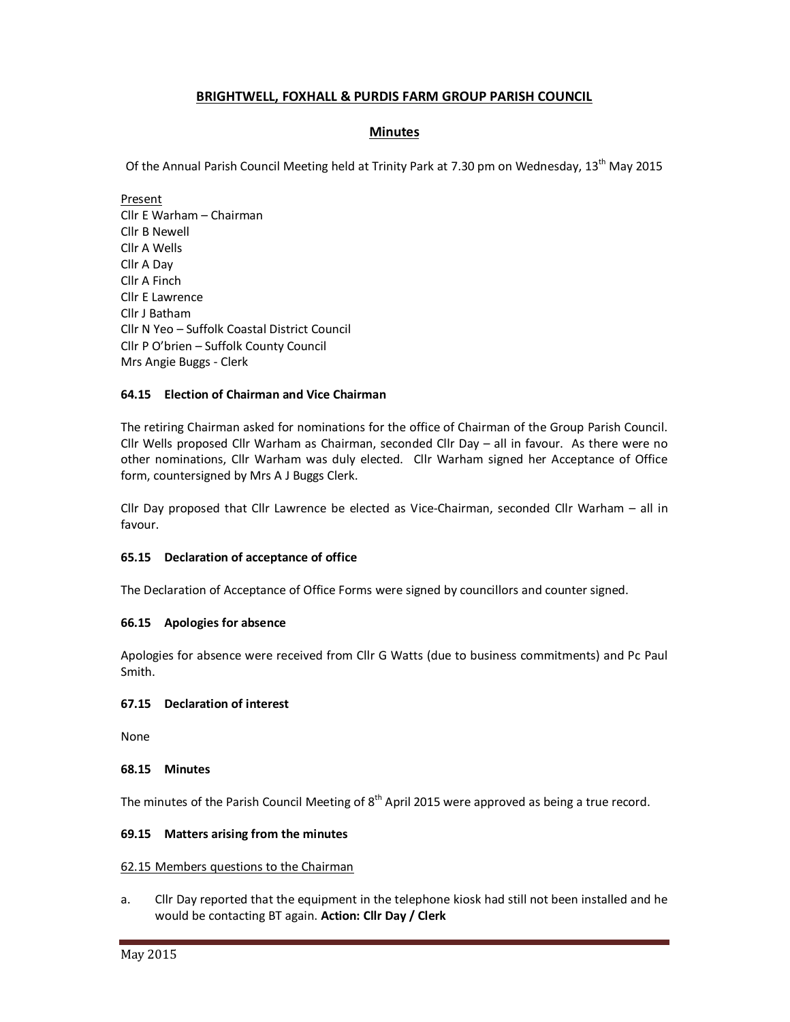# **BRIGHTWELL, FOXHALL & PURDIS FARM GROUP PARISH COUNCIL**

# **Minutes**

Of the Annual Parish Council Meeting held at Trinity Park at 7.30 pm on Wednesday, 13<sup>th</sup> May 2015

Present Cllr E Warham – Chairman Cllr B Newell Cllr A Wells Cllr A Day Cllr A Finch Cllr E Lawrence Cllr J Batham Cllr N Yeo – Suffolk Coastal District Council Cllr P O'brien – Suffolk County Council Mrs Angie Buggs - Clerk

# **64.15 Election of Chairman and Vice Chairman**

The retiring Chairman asked for nominations for the office of Chairman of the Group Parish Council. Cllr Wells proposed Cllr Warham as Chairman, seconded Cllr Day – all in favour. As there were no other nominations, Cllr Warham was duly elected. Cllr Warham signed her Acceptance of Office form, countersigned by Mrs A J Buggs Clerk.

Cllr Day proposed that Cllr Lawrence be elected as Vice-Chairman, seconded Cllr Warham – all in favour.

# **65.15 Declaration of acceptance of office**

The Declaration of Acceptance of Office Forms were signed by councillors and counter signed.

# **66.15 Apologies for absence**

Apologies for absence were received from Cllr G Watts (due to business commitments) and Pc Paul Smith.

### **67.15 Declaration of interest**

None

### **68.15 Minutes**

The minutes of the Parish Council Meeting of  $8<sup>th</sup>$  April 2015 were approved as being a true record.

### **69.15 Matters arising from the minutes**

### 62.15 Members questions to the Chairman

a. Cllr Day reported that the equipment in the telephone kiosk had still not been installed and he would be contacting BT again. **Action: Cllr Day / Clerk**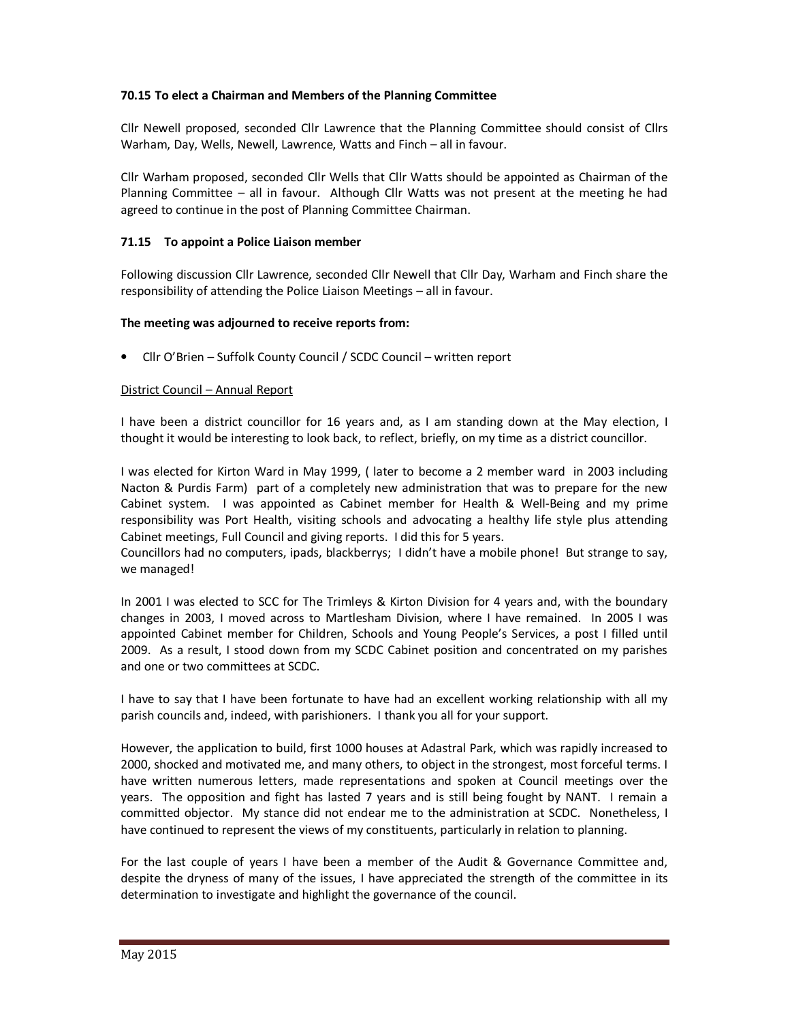# **70.15 To elect a Chairman and Members of the Planning Committee**

Cllr Newell proposed, seconded Cllr Lawrence that the Planning Committee should consist of Cllrs Warham, Day, Wells, Newell, Lawrence, Watts and Finch – all in favour.

Cllr Warham proposed, seconded Cllr Wells that Cllr Watts should be appointed as Chairman of the Planning Committee – all in favour. Although Cllr Watts was not present at the meeting he had agreed to continue in the post of Planning Committee Chairman.

### **71.15 To appoint a Police Liaison member**

Following discussion Cllr Lawrence, seconded Cllr Newell that Cllr Day, Warham and Finch share the responsibility of attending the Police Liaison Meetings – all in favour.

### **The meeting was adjourned to receive reports from:**

• Cllr O'Brien – Suffolk County Council / SCDC Council – written report

### District Council – Annual Report

I have been a district councillor for 16 years and, as I am standing down at the May election, I thought it would be interesting to look back, to reflect, briefly, on my time as a district councillor.

I was elected for Kirton Ward in May 1999, ( later to become a 2 member ward in 2003 including Nacton & Purdis Farm) part of a completely new administration that was to prepare for the new Cabinet system. I was appointed as Cabinet member for Health & Well-Being and my prime responsibility was Port Health, visiting schools and advocating a healthy life style plus attending Cabinet meetings, Full Council and giving reports. I did this for 5 years.

Councillors had no computers, ipads, blackberrys; I didn't have a mobile phone! But strange to say, we managed!

In 2001 I was elected to SCC for The Trimleys & Kirton Division for 4 years and, with the boundary changes in 2003, I moved across to Martlesham Division, where I have remained. In 2005 I was appointed Cabinet member for Children, Schools and Young People's Services, a post I filled until 2009. As a result, I stood down from my SCDC Cabinet position and concentrated on my parishes and one or two committees at SCDC.

I have to say that I have been fortunate to have had an excellent working relationship with all my parish councils and, indeed, with parishioners. I thank you all for your support.

However, the application to build, first 1000 houses at Adastral Park, which was rapidly increased to 2000, shocked and motivated me, and many others, to object in the strongest, most forceful terms. I have written numerous letters, made representations and spoken at Council meetings over the years. The opposition and fight has lasted 7 years and is still being fought by NANT. I remain a committed objector. My stance did not endear me to the administration at SCDC. Nonetheless, I have continued to represent the views of my constituents, particularly in relation to planning.

For the last couple of years I have been a member of the Audit & Governance Committee and, despite the dryness of many of the issues, I have appreciated the strength of the committee in its determination to investigate and highlight the governance of the council.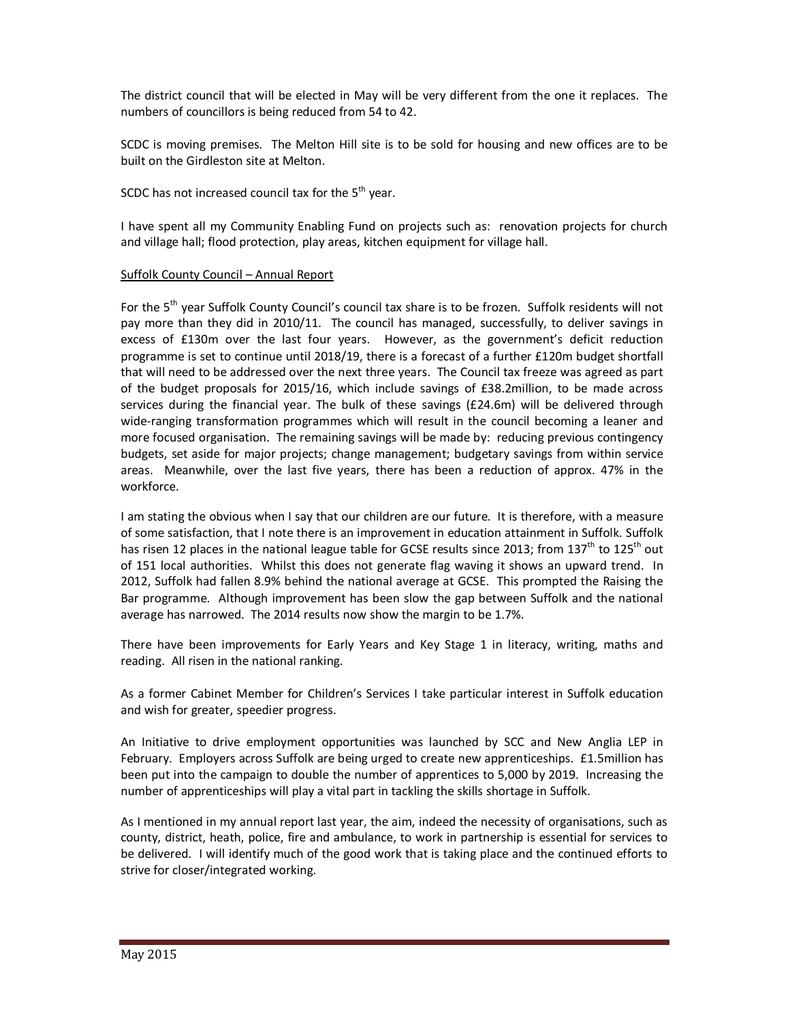The district council that will be elected in May will be very different from the one it replaces. The numbers of councillors is being reduced from 54 to 42.

SCDC is moving premises. The Melton Hill site is to be sold for housing and new offices are to be built on the Girdleston site at Melton.

SCDC has not increased council tax for the  $5<sup>th</sup>$  year.

I have spent all my Community Enabling Fund on projects such as: renovation projects for church and village hall; flood protection, play areas, kitchen equipment for village hall.

### Suffolk County Council – Annual Report

For the 5<sup>th</sup> year Suffolk County Council's council tax share is to be frozen. Suffolk residents will not pay more than they did in 2010/11. The council has managed, successfully, to deliver savings in excess of £130m over the last four years. However, as the government's deficit reduction programme is set to continue until 2018/19, there is a forecast of a further £120m budget shortfall that will need to be addressed over the next three years. The Council tax freeze was agreed as part of the budget proposals for 2015/16, which include savings of £38.2million, to be made across services during the financial year. The bulk of these savings (£24.6m) will be delivered through wide-ranging transformation programmes which will result in the council becoming a leaner and more focused organisation. The remaining savings will be made by: reducing previous contingency budgets, set aside for major projects; change management; budgetary savings from within service areas. Meanwhile, over the last five years, there has been a reduction of approx. 47% in the workforce.

I am stating the obvious when I say that our children are our future. It is therefore, with a measure of some satisfaction, that I note there is an improvement in education attainment in Suffolk. Suffolk has risen 12 places in the national league table for GCSE results since 2013; from 137<sup>th</sup> to 125<sup>th</sup> out of 151 local authorities. Whilst this does not generate flag waving it shows an upward trend. In 2012, Suffolk had fallen 8.9% behind the national average at GCSE. This prompted the Raising the Bar programme. Although improvement has been slow the gap between Suffolk and the national average has narrowed. The 2014 results now show the margin to be 1.7%.

There have been improvements for Early Years and Key Stage 1 in literacy, writing, maths and reading. All risen in the national ranking.

As a former Cabinet Member for Children's Services I take particular interest in Suffolk education and wish for greater, speedier progress.

An Initiative to drive employment opportunities was launched by SCC and New Anglia LEP in February. Employers across Suffolk are being urged to create new apprenticeships. £1.5million has been put into the campaign to double the number of apprentices to 5,000 by 2019. Increasing the number of apprenticeships will play a vital part in tackling the skills shortage in Suffolk.

As I mentioned in my annual report last year, the aim, indeed the necessity of organisations, such as county, district, heath, police, fire and ambulance, to work in partnership is essential for services to be delivered. I will identify much of the good work that is taking place and the continued efforts to strive for closer/integrated working.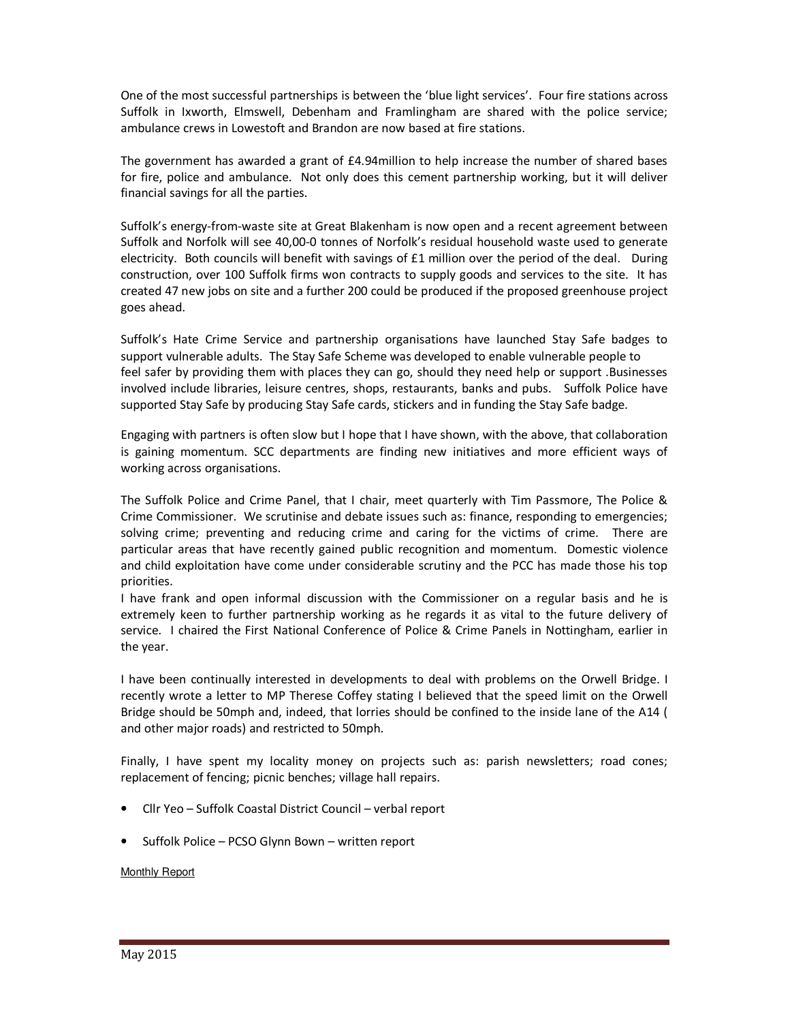One of the most successful partnerships is between the 'blue light services'. Four fire stations across Suffolk in Ixworth, Elmswell, Debenham and Framlingham are shared with the police service; ambulance crews in Lowestoft and Brandon are now based at fire stations.

The government has awarded a grant of £4.94million to help increase the number of shared bases for fire, police and ambulance. Not only does this cement partnership working, but it will deliver financial savings for all the parties.

Suffolk's energy-from-waste site at Great Blakenham is now open and a recent agreement between Suffolk and Norfolk will see 40,00-0 tonnes of Norfolk's residual household waste used to generate electricity. Both councils will benefit with savings of  $£1$  million over the period of the deal. During construction, over 100 Suffolk firms won contracts to supply goods and services to the site. It has created 47 new jobs on site and a further 200 could be produced if the proposed greenhouse project goes ahead.

Suffolk's Hate Crime Service and partnership organisations have launched Stay Safe badges to support vulnerable adults. The Stay Safe Scheme was developed to enable vulnerable people to feel safer by providing them with places they can go, should they need help or support .Businesses involved include libraries, leisure centres, shops, restaurants, banks and pubs. Suffolk Police have supported Stay Safe by producing Stay Safe cards, stickers and in funding the Stay Safe badge.

Engaging with partners is often slow but I hope that I have shown, with the above, that collaboration is gaining momentum. SCC departments are finding new initiatives and more efficient ways of working across organisations.

The Suffolk Police and Crime Panel, that I chair, meet quarterly with Tim Passmore, The Police & Crime Commissioner. We scrutinise and debate issues such as: finance, responding to emergencies; solving crime; preventing and reducing crime and caring for the victims of crime. There are particular areas that have recently gained public recognition and momentum. Domestic violence and child exploitation have come under considerable scrutiny and the PCC has made those his top priorities.

I have frank and open informal discussion with the Commissioner on a regular basis and he is extremely keen to further partnership working as he regards it as vital to the future delivery of service. I chaired the First National Conference of Police & Crime Panels in Nottingham, earlier in the year.

I have been continually interested in developments to deal with problems on the Orwell Bridge. I recently wrote a letter to MP Therese Coffey stating I believed that the speed limit on the Orwell Bridge should be 50mph and, indeed, that lorries should be confined to the inside lane of the A14 ( and other major roads) and restricted to 50mph.

Finally, I have spent my locality money on projects such as: parish newsletters; road cones; replacement of fencing; picnic benches; village hall repairs.

- Cllr Yeo Suffolk Coastal District Council verbal report
- Suffolk Police PCSO Glynn Bown written report

Monthly Report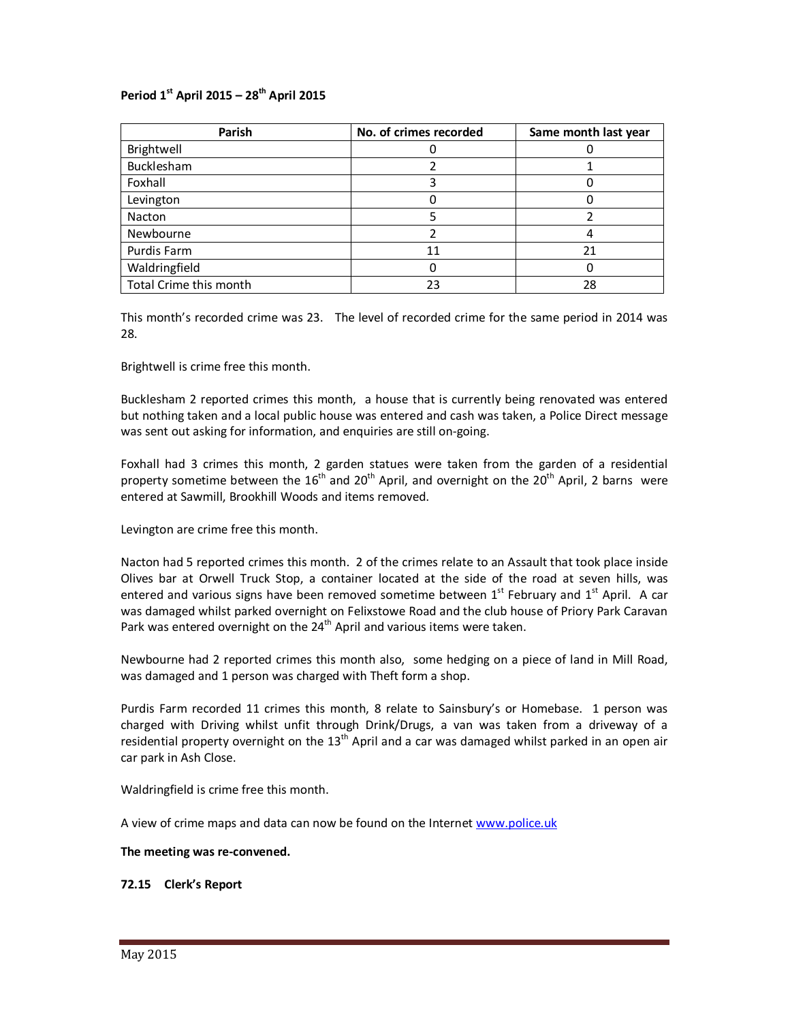# **Period 1st April 2015 – 28th April 2015**

| Parish                 | No. of crimes recorded | Same month last year |
|------------------------|------------------------|----------------------|
| Brightwell             |                        |                      |
| Bucklesham             |                        |                      |
| Foxhall                |                        |                      |
| Levington              |                        |                      |
| Nacton                 |                        |                      |
| Newbourne              |                        |                      |
| Purdis Farm            | 11                     | 21                   |
| Waldringfield          |                        |                      |
| Total Crime this month | 23                     | 28                   |

This month's recorded crime was 23. The level of recorded crime for the same period in 2014 was 28.

Brightwell is crime free this month.

Bucklesham 2 reported crimes this month, a house that is currently being renovated was entered but nothing taken and a local public house was entered and cash was taken, a Police Direct message was sent out asking for information, and enquiries are still on-going.

Foxhall had 3 crimes this month, 2 garden statues were taken from the garden of a residential property sometime between the  $16<sup>th</sup>$  and  $20<sup>th</sup>$  April, and overnight on the  $20<sup>th</sup>$  April, 2 barns were entered at Sawmill, Brookhill Woods and items removed.

Levington are crime free this month.

Nacton had 5 reported crimes this month. 2 of the crimes relate to an Assault that took place inside Olives bar at Orwell Truck Stop, a container located at the side of the road at seven hills, was entered and various signs have been removed sometime between  $1<sup>st</sup>$  February and  $1<sup>st</sup>$  April. A car was damaged whilst parked overnight on Felixstowe Road and the club house of Priory Park Caravan Park was entered overnight on the 24<sup>th</sup> April and various items were taken.

Newbourne had 2 reported crimes this month also, some hedging on a piece of land in Mill Road, was damaged and 1 person was charged with Theft form a shop.

Purdis Farm recorded 11 crimes this month, 8 relate to Sainsbury's or Homebase. 1 person was charged with Driving whilst unfit through Drink/Drugs, a van was taken from a driveway of a residential property overnight on the  $13<sup>th</sup>$  April and a car was damaged whilst parked in an open air car park in Ash Close.

Waldringfield is crime free this month.

A view of crime maps and data can now be found on the Internet www.police.uk

### **The meeting was re-convened.**

# **72.15 Clerk's Report**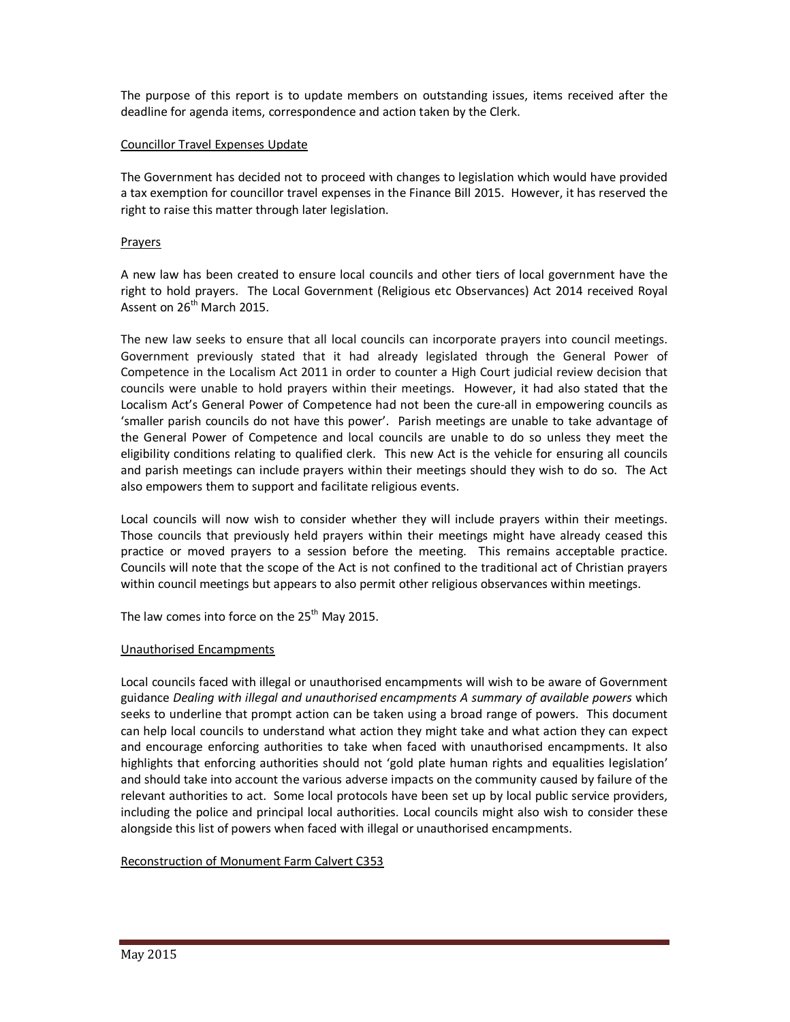The purpose of this report is to update members on outstanding issues, items received after the deadline for agenda items, correspondence and action taken by the Clerk.

## Councillor Travel Expenses Update

The Government has decided not to proceed with changes to legislation which would have provided a tax exemption for councillor travel expenses in the Finance Bill 2015. However, it has reserved the right to raise this matter through later legislation.

### **Prayers**

A new law has been created to ensure local councils and other tiers of local government have the right to hold prayers. The Local Government (Religious etc Observances) Act 2014 received Royal Assent on  $26<sup>th</sup>$  March 2015.

The new law seeks to ensure that all local councils can incorporate prayers into council meetings. Government previously stated that it had already legislated through the General Power of Competence in the Localism Act 2011 in order to counter a High Court judicial review decision that councils were unable to hold prayers within their meetings. However, it had also stated that the Localism Act's General Power of Competence had not been the cure-all in empowering councils as 'smaller parish councils do not have this power'. Parish meetings are unable to take advantage of the General Power of Competence and local councils are unable to do so unless they meet the eligibility conditions relating to qualified clerk. This new Act is the vehicle for ensuring all councils and parish meetings can include prayers within their meetings should they wish to do so. The Act also empowers them to support and facilitate religious events.

Local councils will now wish to consider whether they will include prayers within their meetings. Those councils that previously held prayers within their meetings might have already ceased this practice or moved prayers to a session before the meeting. This remains acceptable practice. Councils will note that the scope of the Act is not confined to the traditional act of Christian prayers within council meetings but appears to also permit other religious observances within meetings.

The law comes into force on the  $25<sup>th</sup>$  May 2015.

### Unauthorised Encampments

Local councils faced with illegal or unauthorised encampments will wish to be aware of Government guidance *Dealing with illegal and unauthorised encampments A summary of available powers* which seeks to underline that prompt action can be taken using a broad range of powers. This document can help local councils to understand what action they might take and what action they can expect and encourage enforcing authorities to take when faced with unauthorised encampments. It also highlights that enforcing authorities should not 'gold plate human rights and equalities legislation' and should take into account the various adverse impacts on the community caused by failure of the relevant authorities to act. Some local protocols have been set up by local public service providers, including the police and principal local authorities. Local councils might also wish to consider these alongside this list of powers when faced with illegal or unauthorised encampments.

### Reconstruction of Monument Farm Calvert C353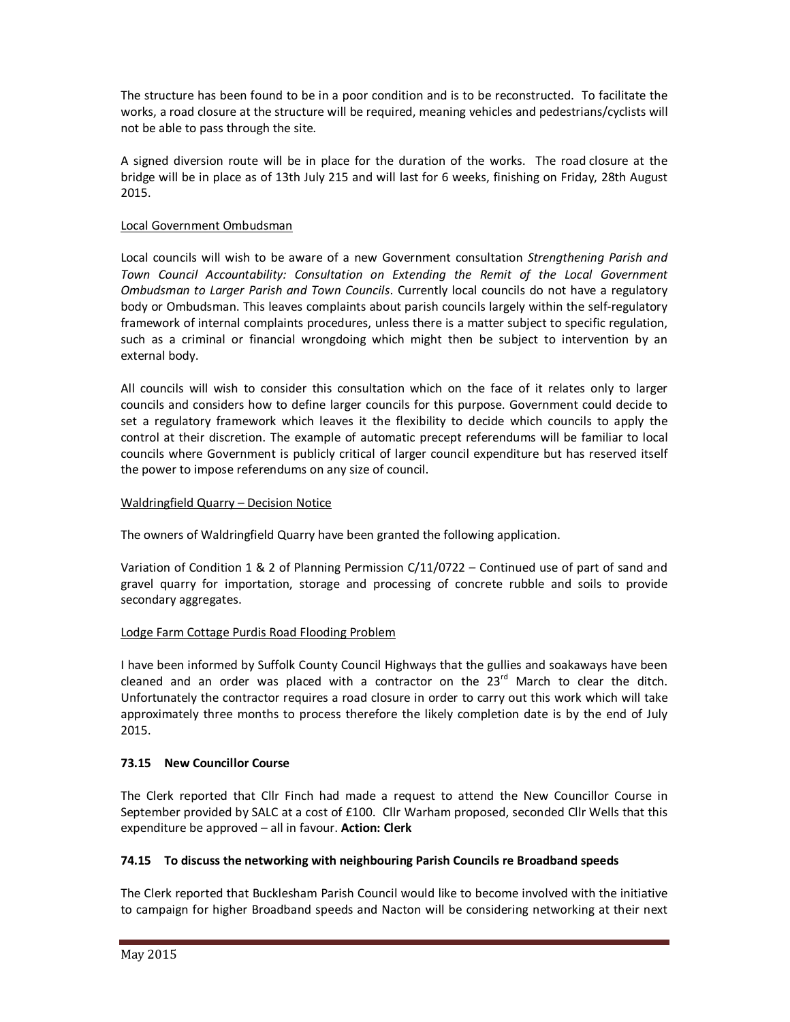The structure has been found to be in a poor condition and is to be reconstructed. To facilitate the works, a road closure at the structure will be required, meaning vehicles and pedestrians/cyclists will not be able to pass through the site.

A signed diversion route will be in place for the duration of the works. The road closure at the bridge will be in place as of 13th July 215 and will last for 6 weeks, finishing on Friday, 28th August 2015.

# Local Government Ombudsman

Local councils will wish to be aware of a new Government consultation *Strengthening Parish and Town Council Accountability: Consultation on Extending the Remit of the Local Government Ombudsman to Larger Parish and Town Councils*. Currently local councils do not have a regulatory body or Ombudsman. This leaves complaints about parish councils largely within the self-regulatory framework of internal complaints procedures, unless there is a matter subject to specific regulation, such as a criminal or financial wrongdoing which might then be subject to intervention by an external body.

All councils will wish to consider this consultation which on the face of it relates only to larger councils and considers how to define larger councils for this purpose. Government could decide to set a regulatory framework which leaves it the flexibility to decide which councils to apply the control at their discretion. The example of automatic precept referendums will be familiar to local councils where Government is publicly critical of larger council expenditure but has reserved itself the power to impose referendums on any size of council.

# Waldringfield Quarry – Decision Notice

The owners of Waldringfield Quarry have been granted the following application.

Variation of Condition 1 & 2 of Planning Permission C/11/0722 – Continued use of part of sand and gravel quarry for importation, storage and processing of concrete rubble and soils to provide secondary aggregates.

# Lodge Farm Cottage Purdis Road Flooding Problem

I have been informed by Suffolk County Council Highways that the gullies and soakaways have been cleaned and an order was placed with a contractor on the  $23<sup>rd</sup>$  March to clear the ditch. Unfortunately the contractor requires a road closure in order to carry out this work which will take approximately three months to process therefore the likely completion date is by the end of July 2015.

# **73.15 New Councillor Course**

The Clerk reported that Cllr Finch had made a request to attend the New Councillor Course in September provided by SALC at a cost of £100. Cllr Warham proposed, seconded Cllr Wells that this expenditure be approved – all in favour. **Action: Clerk** 

# **74.15 To discuss the networking with neighbouring Parish Councils re Broadband speeds**

The Clerk reported that Bucklesham Parish Council would like to become involved with the initiative to campaign for higher Broadband speeds and Nacton will be considering networking at their next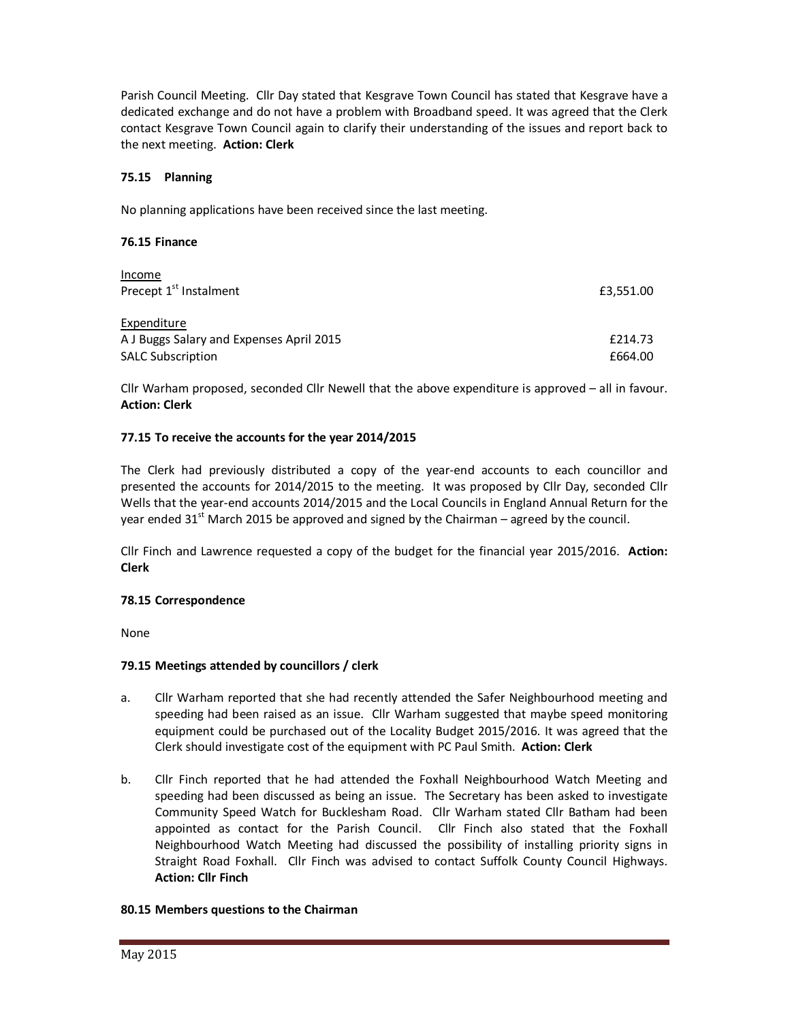Parish Council Meeting. Cllr Day stated that Kesgrave Town Council has stated that Kesgrave have a dedicated exchange and do not have a problem with Broadband speed. It was agreed that the Clerk contact Kesgrave Town Council again to clarify their understanding of the issues and report back to the next meeting. **Action: Clerk** 

### **75.15 Planning**

No planning applications have been received since the last meeting.

### **76.15 Finance**

| Income                                   |           |
|------------------------------------------|-----------|
| Precept 1 <sup>st</sup> Instalment       | £3,551.00 |
|                                          |           |
| Expenditure                              |           |
| A J Buggs Salary and Expenses April 2015 | £214.73   |
| <b>SALC Subscription</b>                 | £664.00   |

Cllr Warham proposed, seconded Cllr Newell that the above expenditure is approved – all in favour. **Action: Clerk** 

### **77.15 To receive the accounts for the year 2014/2015**

The Clerk had previously distributed a copy of the year-end accounts to each councillor and presented the accounts for 2014/2015 to the meeting. It was proposed by Cllr Day, seconded Cllr Wells that the year-end accounts 2014/2015 and the Local Councils in England Annual Return for the year ended  $31^{st}$  March 2015 be approved and signed by the Chairman – agreed by the council.

Cllr Finch and Lawrence requested a copy of the budget for the financial year 2015/2016. **Action: Clerk**

### **78.15 Correspondence**

None

### **79.15 Meetings attended by councillors / clerk**

- a. Cllr Warham reported that she had recently attended the Safer Neighbourhood meeting and speeding had been raised as an issue. Cllr Warham suggested that maybe speed monitoring equipment could be purchased out of the Locality Budget 2015/2016. It was agreed that the Clerk should investigate cost of the equipment with PC Paul Smith. **Action: Clerk**
- b. Cllr Finch reported that he had attended the Foxhall Neighbourhood Watch Meeting and speeding had been discussed as being an issue. The Secretary has been asked to investigate Community Speed Watch for Bucklesham Road. Cllr Warham stated Cllr Batham had been appointed as contact for the Parish Council. Cllr Finch also stated that the Foxhall Neighbourhood Watch Meeting had discussed the possibility of installing priority signs in Straight Road Foxhall. Cllr Finch was advised to contact Suffolk County Council Highways. **Action: Cllr Finch**

### **80.15 Members questions to the Chairman**